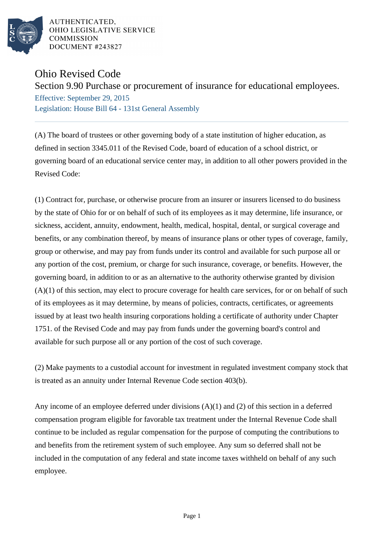

AUTHENTICATED. OHIO LEGISLATIVE SERVICE **COMMISSION** DOCUMENT #243827

## Ohio Revised Code

Section 9.90 Purchase or procurement of insurance for educational employees.

Effective: September 29, 2015 Legislation: House Bill 64 - 131st General Assembly

(A) The board of trustees or other governing body of a state institution of higher education, as defined in section 3345.011 of the Revised Code, board of education of a school district, or governing board of an educational service center may, in addition to all other powers provided in the Revised Code:

(1) Contract for, purchase, or otherwise procure from an insurer or insurers licensed to do business by the state of Ohio for or on behalf of such of its employees as it may determine, life insurance, or sickness, accident, annuity, endowment, health, medical, hospital, dental, or surgical coverage and benefits, or any combination thereof, by means of insurance plans or other types of coverage, family, group or otherwise, and may pay from funds under its control and available for such purpose all or any portion of the cost, premium, or charge for such insurance, coverage, or benefits. However, the governing board, in addition to or as an alternative to the authority otherwise granted by division  $(A)(1)$  of this section, may elect to procure coverage for health care services, for or on behalf of such of its employees as it may determine, by means of policies, contracts, certificates, or agreements issued by at least two health insuring corporations holding a certificate of authority under Chapter 1751. of the Revised Code and may pay from funds under the governing board's control and available for such purpose all or any portion of the cost of such coverage.

(2) Make payments to a custodial account for investment in regulated investment company stock that is treated as an annuity under Internal Revenue Code section 403(b).

Any income of an employee deferred under divisions (A)(1) and (2) of this section in a deferred compensation program eligible for favorable tax treatment under the Internal Revenue Code shall continue to be included as regular compensation for the purpose of computing the contributions to and benefits from the retirement system of such employee. Any sum so deferred shall not be included in the computation of any federal and state income taxes withheld on behalf of any such employee.